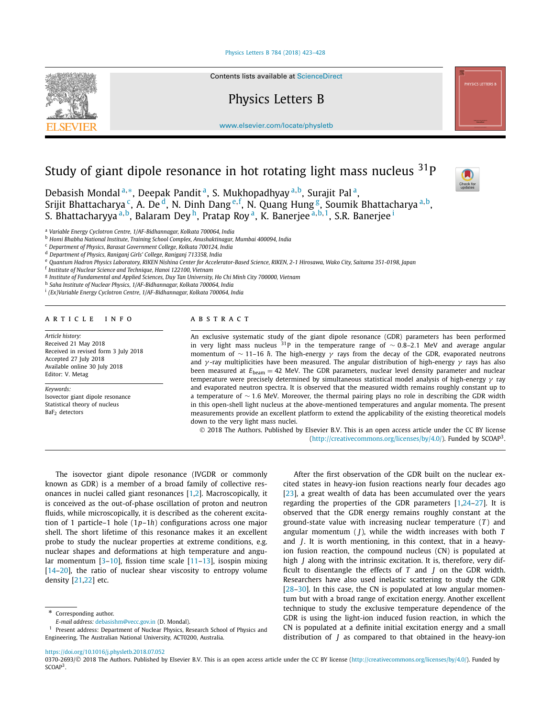#### [Physics Letters B 784 \(2018\) 423–428](https://doi.org/10.1016/j.physletb.2018.07.052)



Contents lists available at [ScienceDirect](http://www.ScienceDirect.com/)

## Physics Letters B

[www.elsevier.com/locate/physletb](http://www.elsevier.com/locate/physletb)

# Study of giant dipole resonance in hot rotating light mass nucleus  $31P$



Debasish Mondal<sup>a,∗</sup>, Deepak Pandit<sup>a</sup>, S. Mukhopadhyay<sup>a, b</sup>, Surajit Pal<sup>a</sup>, Srijit Bhattacharya <sup>c</sup>, A. De <sup>d</sup>, N. Dinh Dang <sup>e, f</sup>, N. Quang Hung <sup>g</sup>, Soumik Bhattacharya <sup>a, b</sup>, S. Bhattacharyya <sup>a</sup>*,*b, Balaram Dey h, Pratap Roy a, K. Banerjee <sup>a</sup>*,*b*,*1, S.R. Banerjee <sup>i</sup>

<sup>a</sup> *Variable Energy Cyclotron Centre, 1/AF-Bidhannagar, Kolkata 700064, India*

<sup>b</sup> *Homi Bhabha National Institute, Training School Complex, Anushaktinagar, Mumbai 400094, India*

<sup>c</sup> *Department of Physics, Barasat Government College, Kolkata 700124, India*

<sup>d</sup> *Department of Physics, Raniganj Girls' College, Raniganj 713358, India*

e Quantum Hadron Physics Laboratory, RIKEN Nishina Center for Accelerator-Based Science, RIKEN, 2-1 Hirosawa, Wako City, Saitama 351-0198, Japan

<sup>f</sup> *Institute of Nuclear Science and Technique, Hanoi 122100, Vietnam*

<sup>g</sup> *Institute of Fundamental and Applied Sciences, Duy Tan University, Ho Chi Minh City 700000, Vietnam*

<sup>h</sup> *Saha Institute of Nuclear Physics, 1/AF-Bidhannagar, Kolkata 700064, India*

<sup>i</sup> *(Ex)Variable Energy Cyclotron Centre, 1/AF-Bidhannagar, Kolkata 700064, India*

### A R T I C L E I N F O A B S T R A C T

*Article history:* Received 21 May 2018 Received in revised form 3 July 2018 Accepted 27 July 2018 Available online 30 July 2018 Editor: V. Metag

*Keywords:* Isovector giant dipole resonance Statistical theory of nucleus BaF2 detectors

An exclusive systematic study of the giant dipole resonance (GDR) parameters has been performed in very light mass nucleus 31P in the temperature range of ∼ 0*.*8–2*.*1 MeV and average angular momentum of ~ 11–16 *ħ*. The high-energy γ rays from the decay of the GDR, evaporated neutrons and *γ* -ray multiplicities have been measured. The angular distribution of high-energy *γ* rays has also been measured at  $E_{\text{beam}} = 42$  MeV. The GDR parameters, nuclear level density parameter and nuclear temperature were precisely determined by simultaneous statistical model analysis of high-energy *γ* ray and evaporated neutron spectra. It is observed that the measured width remains roughly constant up to a temperature of ∼ 1*.*6 MeV. Moreover, the thermal pairing plays no role in describing the GDR width in this open-shell light nucleus at the above-mentioned temperatures and angular momenta. The present measurements provide an excellent platform to extend the applicability of the existing theoretical models down to the very light mass nuclei.

© 2018 The Authors. Published by Elsevier B.V. This is an open access article under the CC BY license [\(http://creativecommons.org/licenses/by/4.0/\)](http://creativecommons.org/licenses/by/4.0/). Funded by  $SCOAP<sup>3</sup>$ .

The isovector giant dipole resonance (IVGDR or commonly known as GDR) is a member of a broad family of collective resonances in nuclei called giant resonances [\[1,2\]](#page-4-0). Macroscopically, it is conceived as the out-of-phase oscillation of proton and neutron fluids, while microscopically, it is described as the coherent excitation of 1 particle–1 hole (1*p*–1*h*) configurations across one major shell. The short lifetime of this resonance makes it an excellent probe to study the nuclear properties at extreme conditions, e.g. nuclear shapes and deformations at high temperature and angular momentum [\[3–10\]](#page-4-0), fission time scale [\[11–13\]](#page-4-0), isospin mixing [\[14–20\]](#page-4-0), the ratio of nuclear shear viscosity to entropy volume density [\[21,22\]](#page-4-0) etc.

\* Corresponding author.

*E-mail address:* [debasishm@vecc.gov.in](mailto:debasishm@vecc.gov.in) (D. Mondal).

<sup>1</sup> Present address: Department of Nuclear Physics, Research School of Physics and Engineering, The Australian National University, ACT0200, Australia.

After the first observation of the GDR built on the nuclear excited states in heavy-ion fusion reactions nearly four decades ago [\[23\]](#page-4-0), a great wealth of data has been accumulated over the years regarding the properties of the GDR parameters [\[1,24–27\]](#page-4-0). It is observed that the GDR energy remains roughly constant at the ground-state value with increasing nuclear temperature (*T* ) and angular momentum  $(J)$ , while the width increases with both  $T$ and *J*. It is worth mentioning, in this context, that in a heavyion fusion reaction, the compound nucleus (CN) is populated at high *J* along with the intrinsic excitation. It is, therefore, very difficult to disentangle the effects of *T* and *J* on the GDR width. Researchers have also used inelastic scattering to study the GDR [\[28–30\]](#page-4-0). In this case, the CN is populated at low angular momentum but with a broad range of excitation energy. Another excellent technique to study the exclusive temperature dependence of the GDR is using the light-ion induced fusion reaction, in which the CN is populated at a definite initial excitation energy and a small distribution of *J* as compared to that obtained in the heavy-ion

<https://doi.org/10.1016/j.physletb.2018.07.052>

0370-2693/© 2018 The Authors. Published by Elsevier B.V. This is an open access article under the CC BY license [\(http://creativecommons.org/licenses/by/4.0/\)](http://creativecommons.org/licenses/by/4.0/). Funded by SCOAP<sup>3</sup>.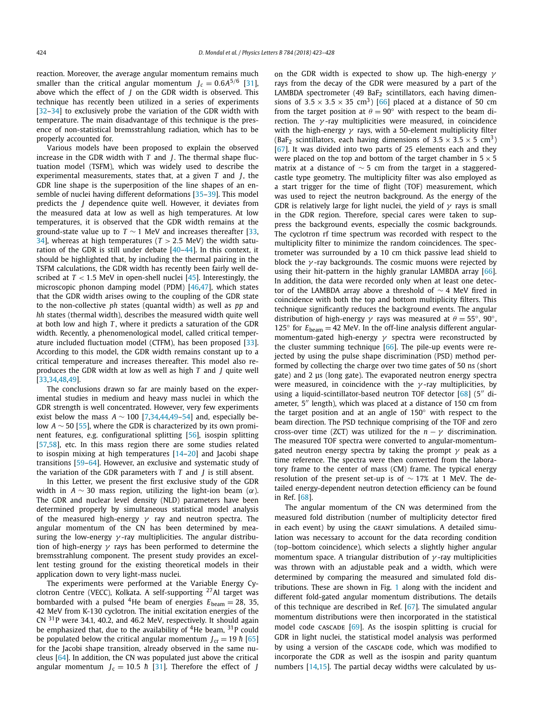reaction. Moreover, the average angular momentum remains much smaller than the critical angular momentum  $J_c = 0.6A^{5/6}$  [\[31\]](#page-4-0), above which the effect of *J* on the GDR width is observed. This technique has recently been utilized in a series of experiments [\[32–34\]](#page-4-0) to exclusively probe the variation of the GDR width with temperature. The main disadvantage of this technique is the presence of non-statistical bremsstrahlung radiation, which has to be properly accounted for.

Various models have been proposed to explain the observed increase in the GDR width with *T* and *J*. The thermal shape fluctuation model (TSFM), which was widely used to describe the experimental measurements, states that, at a given *T* and *J*, the GDR line shape is the superposition of the line shapes of an ensemble of nuclei having different deformations [\[35–39\]](#page-4-0). This model predicts the *J* dependence quite well. However, it deviates from the measured data at low as well as high temperatures. At low temperatures, it is observed that the GDR width remains at the ground-state value up to  $T \sim 1$  MeV and increases thereafter [\[33,](#page-4-0) [34\]](#page-4-0), whereas at high temperatures (*T >* 2*.*5 MeV) the width saturation of the GDR is still under debate [\[40–44\]](#page-4-0). In this context, it should be highlighted that, by including the thermal pairing in the TSFM calculations, the GDR width has recently been fairly well described at  $T < 1.5$  MeV in open-shell nuclei  $[45]$ . Interestingly, the microscopic phonon damping model (PDM) [\[46,47\]](#page-4-0), which states that the GDR width arises owing to the coupling of the GDR state to the non-collective *ph* states (quantal width) as well as *pp* and *hh* states (thermal width), describes the measured width quite well at both low and high *T* , where it predicts a saturation of the GDR width. Recently, a phenomenological model, called critical temperature included fluctuation model (CTFM), has been proposed [\[33\]](#page-4-0). According to this model, the GDR width remains constant up to a critical temperature and increases thereafter. This model also reproduces the GDR width at low as well as high *T* and *J* quite well [\[33,34,48,49\]](#page-4-0).

The conclusions drawn so far are mainly based on the experimental studies in medium and heavy mass nuclei in which the GDR strength is well concentrated. However, very few experiments exist below the mass  $A \sim 100$  [\[7,34,44,49–54\]](#page-4-0) and, especially below *A* ∼ 50 [\[55\]](#page-4-0), where the GDR is characterized by its own prominent features, e.g. configurational splitting [\[56\]](#page-4-0), isospin splitting [\[57,58\]](#page-4-0), etc. In this mass region there are some studies related to isospin mixing at high temperatures [\[14–20\]](#page-4-0) and Jacobi shape transitions [\[59–64\]](#page-4-0). However, an exclusive and systematic study of the variation of the GDR parameters with *T* and *J* is still absent.

In this Letter, we present the first exclusive study of the GDR width in *A*  $\sim$  30 mass region, utilizing the light-ion beam ( $\alpha$ ). The GDR and nuclear level density (NLD) parameters have been determined properly by simultaneous statistical model analysis of the measured high-energy *γ* ray and neutron spectra. The angular momentum of the CN has been determined by measuring the low-energy *γ* -ray multiplicities. The angular distribution of high-energy *γ* rays has been performed to determine the bremsstrahlung component. The present study provides an excellent testing ground for the existing theoretical models in their application down to very light-mass nuclei.

The experiments were performed at the Variable Energy Cyclotron Centre (VECC), Kolkata. A self-supporting 27Al target was bombarded with a pulsed <sup>4</sup>He beam of energies  $E_{\text{beam}} = 28, 35,$ 42 MeV from K-130 cyclotron. The initial excitation energies of the CN 31P were 34.1, 40.2, and 46.2 MeV, respectively. It should again be emphasized that, due to the availability of  $4$ He beam,  $31$ P could be populated below the critical angular momentum  $J_{\rm cr} = 19 \hbar [65]$  $J_{\rm cr} = 19 \hbar [65]$ for the Jacobi shape transition, already observed in the same nucleus [\[64\]](#page-4-0). In addition, the CN was populated just above the critical angular momentum  $J_c = 10.5 \hbar$  [\[31\]](#page-4-0). Therefore the effect of *J* 

on the GDR width is expected to show up. The high-energy *γ* rays from the decay of the GDR were measured by a part of the LAMBDA spectrometer (49 BaF<sub>2</sub> scintillators, each having dimensions of  $3.5 \times 3.5 \times 35$  cm<sup>3</sup>) [\[66\]](#page-5-0) placed at a distance of 50 cm from the target position at  $\theta = 90^\circ$  with respect to the beam direction. The *γ* -ray multiplicities were measured, in coincidence with the high-energy *γ* rays, with a 50-element multiplicity filter (BaF<sub>2</sub> scintillators, each having dimensions of  $3.5 \times 3.5 \times 5$  cm<sup>3</sup>) [\[67\]](#page-5-0). It was divided into two parts of 25 elements each and they were placed on the top and bottom of the target chamber in  $5 \times 5$ matrix at a distance of  $\sim$  5 cm from the target in a staggeredcastle type geometry. The multiplicity filter was also employed as a start trigger for the time of flight (TOF) measurement, which was used to reject the neutron background. As the energy of the GDR is relatively large for light nuclei, the yield of *γ* rays is small in the GDR region. Therefore, special cares were taken to suppress the background events, especially the cosmic backgrounds. The cyclotron rf time spectrum was recorded with respect to the multiplicity filter to minimize the random coincidences. The spectrometer was surrounded by a 10 cm thick passive lead shield to block the *γ* -ray backgrounds. The cosmic muons were rejected by using their hit-pattern in the highly granular LAMBDA array [\[66\]](#page-5-0). In addition, the data were recorded only when at least one detector of the LAMBDA array above a threshold of ∼ 4 MeV fired in coincidence with both the top and bottom multiplicity filters. This technique significantly reduces the background events. The angular distribution of high-energy  $\gamma$  rays was measured at  $\theta = 55^{\circ}$ , 90<sup>°</sup>, 125 $\degree$  for  $E_{\text{beam}} = 42$  MeV. In the off-line analysis different angularmomentum-gated high-energy *γ* spectra were reconstructed by the cluster summing technique  $[66]$ . The pile-up events were rejected by using the pulse shape discrimination (PSD) method performed by collecting the charge over two time gates of 50 ns (short gate) and 2 μs (long gate). The evaporated neutron energy spectra were measured, in coincidence with the *γ* -ray multiplicities, by using a liquid-scintillator-based neutron TOF detector  $[68]$  (5" diameter,  $5''$  length), which was placed at a distance of 150 cm from the target position and at an angle of 150◦ with respect to the beam direction. The PSD technique comprising of the TOF and zero cross-over time (ZCT) was utilized for the  $n - \gamma$  discrimination. The measured TOF spectra were converted to angular-momentumgated neutron energy spectra by taking the prompt *γ* peak as a time reference. The spectra were then converted from the laboratory frame to the center of mass (CM) frame. The typical energy resolution of the present set-up is of  $\sim$  17% at 1 MeV. The detailed energy-dependent neutron detection efficiency can be found in Ref. [\[68\]](#page-5-0).

The angular momentum of the CN was determined from the measured fold distribution (number of multiplicity detector fired in each event) by using the GEANT simulations. A detailed simulation was necessary to account for the data recording condition (top–bottom coincidence), which selects a slightly higher angular momentum space. A triangular distribution of *γ* -ray multiplicities was thrown with an adjustable peak and a width, which were determined by comparing the measured and simulated fold distributions. These are shown in Fig. [1](#page-2-0) along with the incident and different fold-gated angular momentum distributions. The details of this technique are described in Ref. [\[67\]](#page-5-0). The simulated angular momentum distributions were then incorporated in the statistical model code CASCADE  $[69]$ . As the isospin splitting is crucial for GDR in light nuclei, the statistical model analysis was performed by using a version of the CASCADE code, which was modified to incorporate the GDR as well as the isospin and parity quantum numbers [\[14,15\]](#page-4-0). The partial decay widths were calculated by us-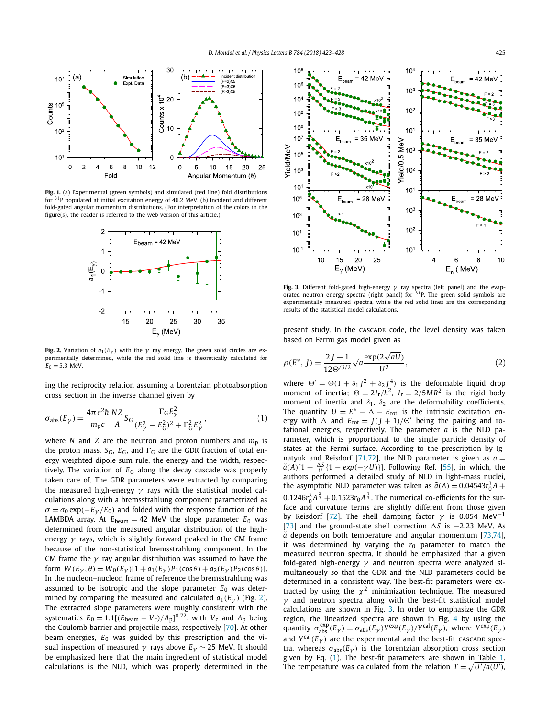<span id="page-2-0"></span>

**Fig. 1.** (a) Experimental (green symbols) and simulated (red line) fold distributions for  $31P$  populated at initial excitation energy of 46.2 MeV. (b) Incident and different fold-gated angular momentum distributions. (For interpretation of the colors in the figure(s), the reader is referred to the web version of this article.)



**Fig. 2.** Variation of  $a_1(E_\gamma)$  with the  $\gamma$  ray energy. The green solid circles are experimentally determined, while the red solid line is theoretically calculated for  $E_0 = 5.3$  MeV.

ing the reciprocity relation assuming a Lorentzian photoabsorption cross section in the inverse channel given by

$$
\sigma_{\rm abs}(E_{\gamma}) = \frac{4\pi e^2 \hbar}{m_{\rm p}c} \frac{NZ}{A} S_{\rm G} \frac{\Gamma_{\rm G} E_{\gamma}^2}{(E_{\gamma}^2 - E_{\rm G}^2)^2 + \Gamma_{\rm G}^2 E_{\gamma}^2},\tag{1}
$$

where *N* and *Z* are the neutron and proton numbers and  $m_p$  is the proton mass.  $S_G$ ,  $E_G$ , and  $\Gamma_G$  are the GDR fraction of total energy weighted dipole sum rule, the energy and the width, respectively. The variation of  $E_G$  along the decay cascade was properly taken care of. The GDR parameters were extracted by comparing the measured high-energy *γ* rays with the statistical model calculations along with a bremsstrahlung component parametrized as  $\sigma = \sigma_0 \exp(-E_\gamma/E_0)$  and folded with the response function of the LAMBDA array. At  $E_{\text{beam}} = 42$  MeV the slope parameter  $E_0$  was determined from the measured angular distribution of the highenergy *γ* rays, which is slightly forward peaked in the CM frame because of the non-statistical bremsstrahlung component. In the CM frame the *γ* ray angular distribution was assumed to have the form  $W(E_{\gamma}, \theta) = W_0(E_{\gamma})[1 + a_1(E_{\gamma})P_1(\cos \theta) + a_2(E_{\gamma})P_2(\cos \theta)].$ In the nucleon–nucleon frame of reference the bremsstrahlung was assumed to be isotropic and the slope parameter *E*<sup>0</sup> was determined by comparing the measured and calculated  $a_1(E_v)$  (Fig. 2). The extracted slope parameters were roughly consistent with the systematics  $E_0 = 1.1[(E_{\text{beam}} - V_{\text{c}})/A_{\text{p}}]^{0.72}$ , with  $V_{\text{c}}$  and  $A_{\text{p}}$  being the Coulomb barrier and projectile mass, respectively [\[70\]](#page-5-0). At other beam energies,  $E_0$  was guided by this prescription and the visual inspection of measured  $γ$  rays above  $E<sub>γ</sub>$  ~ 25 MeV. It should be emphasized here that the main ingredient of statistical model calculations is the NLD, which was properly determined in the



**Fig. 3.** Different fold-gated high-energy *γ* ray spectra (left panel) and the evaporated neutron energy spectra (right panel) for  $31P$ . The green solid symbols are experimentally measured spectra, while the red solid lines are the corresponding results of the statistical model calculations.

present study. In the CASCADE code, the level density was taken based on Fermi gas model given as

$$
\rho(E^*, J) = \frac{2J + 1}{12\Theta^{3/2}} \sqrt{a} \frac{\exp(2\sqrt{aU})}{U^2},
$$
\n(2)

where  $\Theta' = \Theta(1 + \delta_1 I^2 + \delta_2 I^4)$  is the deformable liquid drop moment of inertia;  $\Theta = 2I_r/\hbar^2$ ,  $I_r = 2/5MR^2$  is the rigid body moment of inertia and  $\delta_1$ ,  $\delta_2$  are the deformability coefficients. The quantity  $U = E^* - \Delta - E_{\text{rot}}$  is the intrinsic excitation energy with  $\Delta$  and  $E_{\text{rot}} = J(J + 1)/\Theta'$  being the pairing and rotational energies, respectively. The parameter *a* is the NLD parameter, which is proportional to the single particle density of states at the Fermi surface. According to the prescription by Ig-natyuk and Reisdorf [\[71,72\]](#page-5-0), the NLD parameter is given as  $a =$  $\tilde{a}(A)[1 + \frac{\Delta S}{U}(1 - exp(-\gamma U))]$ . Following Ref. [\[55\]](#page-4-0), in which, the authors performed a detailed study of NLD in light-mass nuclei, the asymptotic NLD parameter was taken as  $\tilde{a}(A) = 0.04543r_0^3 A +$  $0.1246r_0^2A^{\frac{2}{3}} + 0.1523r_0A^{\frac{1}{3}}$ . The numerical co-efficients for the surface and curvature terms are slightly different from those given by Reisdorf [\[72\]](#page-5-0). The shell damping factor  $\gamma$  is 0.054 MeV<sup>-1</sup> [\[73\]](#page-5-0) and the ground-state shell correction *S* is −2*.*23 MeV. As  $\tilde{a}$  depends on both temperature and angular momentum [\[73,74\]](#page-5-0), it was determined by varying the  $r_0$  parameter to match the measured neutron spectra. It should be emphasized that a given fold-gated high-energy *γ* and neutron spectra were analyzed simultaneously so that the GDR and the NLD parameters could be determined in a consistent way. The best-fit parameters were extracted by using the  $\chi^2$  minimization technique. The measured *γ* and neutron spectra along with the best-fit statistical model calculations are shown in Fig. 3. In order to emphasize the GDR region, the linearized spectra are shown in Fig. [4](#page-3-0) by using the quantity  $\sigma_{abs}^{\text{exp}}(E_{\gamma}) = \sigma_{abs}(E_{\gamma}) Y^{\text{exp}}(E_{\gamma}) / Y^{\text{cal}}(E_{\gamma}),$  where  $Y^{\text{exp}}(E_{\gamma})$ and  $Y^{cal}(E_{\gamma})$  are the experimental and the best-fit cascade spectra, whereas  $\sigma_{\text{abs}}(E_{\gamma})$  is the Lorentzian absorption cross section given by Eq. (1). The best-fit parameters are shown in Table [1.](#page-3-0) The temperature was calculated from the relation  $T = \sqrt{U'/a(U')}$ ,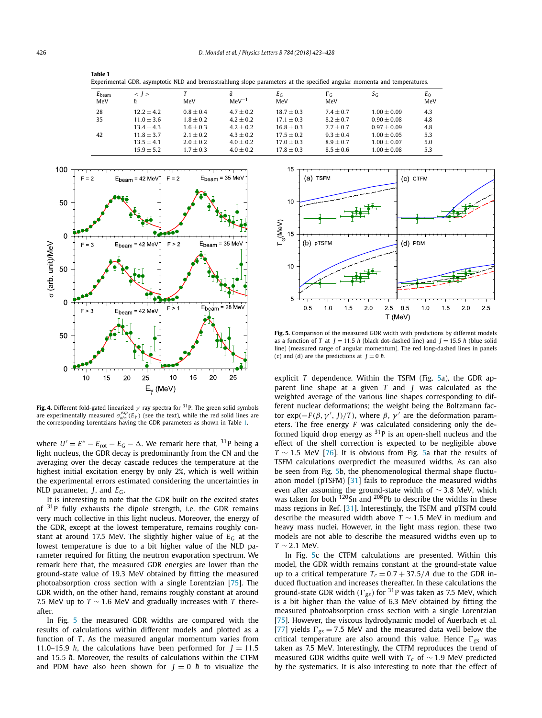<span id="page-3-0"></span>

| Table 1 |                                                                                                                         |  |
|---------|-------------------------------------------------------------------------------------------------------------------------|--|
|         | Experimental GDR, asymptotic NLD and bremsstrahlung slope parameters at the specified angular momenta and temperatures. |  |

| $E_{\text{beam}}$<br>MeV | $<$ 1 $>$<br>ħ | MeV         | ã<br>$MeV^{-1}$ | $E_G$<br>MeV | $\Gamma_{\rm G}$<br>MeV | $S_G$         | $E_0$<br>MeV |
|--------------------------|----------------|-------------|-----------------|--------------|-------------------------|---------------|--------------|
| 28                       | $12.2 + 4.2$   | $0.8 + 0.4$ | $4.7 + 0.2$     | $18.7 + 0.3$ | $7.4 + 0.7$             | $1.00 + 0.09$ | 4.3          |
| 35                       | $11.0 + 3.6$   | $1.8 + 0.2$ | $4.2 + 0.2$     | $17.1 + 0.3$ | $8.2 + 0.7$             | $0.90 + 0.08$ | 4.8          |
|                          | $13.4 + 4.3$   | $1.6 + 0.3$ | $4.2 + 0.2$     | $16.8 + 0.3$ | $7.7 + 0.7$             | $0.97 + 0.09$ | 4.8          |
| 42                       | $11.8 + 3.7$   | $2.1 + 0.2$ | $4.3 + 0.2$     | $17.5 + 0.2$ | $9.3 + 0.4$             | $1.00 + 0.05$ | 5.3          |
|                          | $13.5 \pm 4.1$ | $2.0 + 0.2$ | $4.0 + 0.2$     | $17.0 + 0.3$ | $8.9 + 0.7$             | $1.00 + 0.07$ | 5.0          |
|                          | $15.9 + 5.2$   | $1.7 + 0.3$ | $4.0 \pm 0.2$   | $17.8 + 0.3$ | $8.5 + 0.6$             | $1.00 + 0.08$ | 5.3          |



**Fig. 4.** Different fold-gated linearized *γ* ray spectra for 31P. The green solid symbols are experimentally measured  $\sigma_{abs}^{exp}(E_{\gamma})$  (see the text), while the red solid lines are the corresponding Lorentzians having the GDR parameters as shown in Table 1.

where  $U' = E^* - E_{\text{rot}} - E_G - \Delta$ . We remark here that, <sup>31</sup>P being a light nucleus, the GDR decay is predominantly from the CN and the averaging over the decay cascade reduces the temperature at the highest initial excitation energy by only 2%, which is well within the experimental errors estimated considering the uncertainties in NLD parameter, *J*, and *E*G.

It is interesting to note that the GDR built on the excited states of  $31P$  fully exhausts the dipole strength, i.e. the GDR remains very much collective in this light nucleus. Moreover, the energy of the GDR, except at the lowest temperature, remains roughly constant at around 17.5 MeV. The slightly higher value of  $E_G$  at the lowest temperature is due to a bit higher value of the NLD parameter required for fitting the neutron evaporation spectrum. We remark here that, the measured GDR energies are lower than the ground-state value of 19.3 MeV obtained by fitting the measured photoabsorption cross section with a single Lorentzian [\[75\]](#page-5-0). The GDR width, on the other hand, remains roughly constant at around 7.5 MeV up to *T* ∼ 1*.*6 MeV and gradually increases with *T* thereafter.

In Fig. 5 the measured GDR widths are compared with the results of calculations within different models and plotted as a function of *T*. As the measured angular momentum varies from 11.0–15.9  $\hbar$ , the calculations have been performed for  $J = 11.5$ and 15.5  $\hbar$ . Moreover, the results of calculations within the CTFM and PDM have also been shown for  $J = 0$   $\hbar$  to visualize the



**Fig. 5.** Comparison of the measured GDR width with predictions by different models as a function of *T* at  $J = 11.5$  *h*<sup> $\alpha$ </sup> (black dot-dashed line) and  $J = 15.5$  *h*<sup> $\alpha$ </sup> (blue solid line) (measured range of angular momentum). The red long-dashed lines in panels (c) and (d) are the predictions at  $J = 0$   $\hbar$ .

explicit *T* dependence. Within the TSFM (Fig. 5a), the GDR apparent line shape at a given *T* and *J* was calculated as the weighted average of the various line shapes corresponding to different nuclear deformations; the weight being the Boltzmann factor exp( $-F(β, γ', J)/T$ ), where  $β, γ'$  are the deformation parameters. The free energy *F* was calculated considering only the deformed liquid drop energy as  $31P$  is an open-shell nucleus and the effect of the shell correction is expected to be negligible above *T* ∼ 1*.*5 MeV [\[76\]](#page-5-0). It is obvious from Fig. 5a that the results of TSFM calculations overpredict the measured widths. As can also be seen from Fig. 5b, the phenomenological thermal shape fluctuation model (pTSFM) [\[31\]](#page-4-0) fails to reproduce the measured widths even after assuming the ground-state width of ∼ 3*.*8 MeV, which was taken for both  $120$ Sn and  $208$ Pb to describe the widths in these mass regions in Ref. [\[31\]](#page-4-0). Interestingly, the TSFM and pTSFM could describe the measured width above *T* ∼ 1*.*5 MeV in medium and heavy mass nuclei. However, in the light mass region, these two models are not able to describe the measured widths even up to *T* ∼ 2*.*1 MeV.

In Fig. 5c the CTFM calculations are presented. Within this model, the GDR width remains constant at the ground-state value up to a critical temperature  $T_c = 0.7 + 37.5/A$  due to the GDR induced fluctuation and increases thereafter. In these calculations the ground-state GDR width ( $\Gamma_{gs}$ ) for <sup>31</sup>P was taken as 7.5 MeV, which is a bit higher than the value of 6.3 MeV obtained by fitting the measured photoabsorption cross section with a single Lorentzian [\[75\]](#page-5-0). However, the viscous hydrodynamic model of Auerbach et al. [\[77\]](#page-5-0) yields  $\Gamma_{gs} = 7.5$  MeV and the measured data well below the critical temperature are also around this value. Hence  $\Gamma_{gs}$  was taken as 7.5 MeV. Interestingly, the CTFM reproduces the trend of measured GDR widths quite well with *Tc* of ∼ 1*.*9 MeV predicted by the systematics. It is also interesting to note that the effect of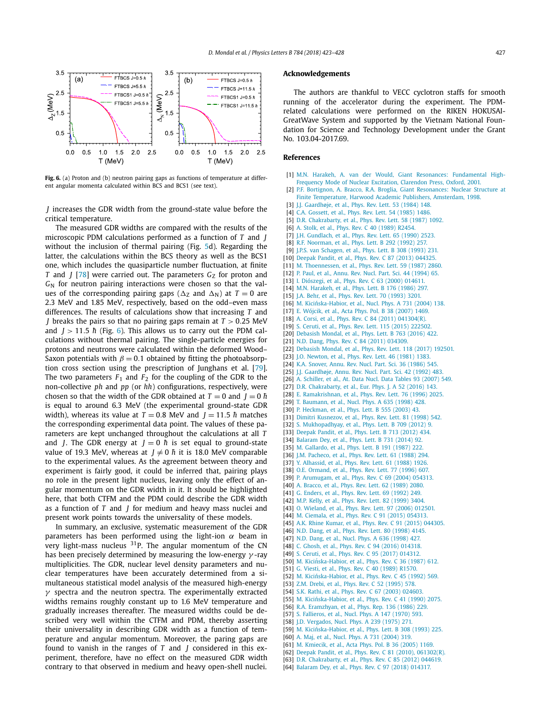<span id="page-4-0"></span>

Fig. 6. (a) Proton and (b) neutron pairing gaps as functions of temperature at different angular momenta calculated within BCS and BCS1 (see text).

*J* increases the GDR width from the ground-state value before the critical temperature.

The measured GDR widths are compared with the results of the microscopic PDM calculations performed as a function of *T* and *J* without the inclusion of thermal pairing (Fig. [5d](#page-3-0)). Regarding the latter, the calculations within the BCS theory as well as the BCS1 one, which includes the quasiparticle number fluctuation, at finite *T* and *J* [\[78\]](#page-5-0) were carried out. The parameters *G*<sub>Z</sub> for proton and *G*<sup>N</sup> for neutron pairing interactions were chosen so that the values of the corresponding pairing gaps ( $\Delta z$  and  $\Delta N$ ) at  $T=0$  are 2.3 MeV and 1.85 MeV, respectively, based on the odd–even mass differences. The results of calculations show that increasing *T* and *J* breaks the pairs so that no pairing gaps remain at *T >* 0*.*25 MeV and  $J > 11.5$  *h* (Fig. 6). This allows us to carry out the PDM calculations without thermal pairing. The single-particle energies for protons and neutrons were calculated within the deformed Wood– Saxon potentials with  $\beta = 0.1$  obtained by fitting the photoabsorption cross section using the prescription of Junghans et al. [\[79\]](#page-5-0). The two parameters  $F_1$  and  $F_2$  for the coupling of the GDR to the non-collective *ph* and *pp* (or *hh*) configurations, respectively, were chosen so that the width of the GDR obtained at  $T = 0$  and  $J = 0$   $\hbar$ is equal to around 6.3 MeV (the experimental ground-state GDR width), whereas its value at  $T = 0.8$  MeV and  $J = 11.5$   $\hbar$  matches the corresponding experimental data point. The values of these parameters are kept unchanged throughout the calculations at all *T* and *J*. The GDR energy at  $J = 0$   $\hbar$  is set equal to ground-state value of 19.3 MeV, whereas at  $J \neq 0$   $\hbar$  it is 18.0 MeV comparable to the experimental values. As the agreement between theory and experiment is fairly good, it could be inferred that, pairing plays no role in the present light nucleus, leaving only the effect of angular momentum on the GDR width in it. It should be highlighted here, that both CTFM and the PDM could describe the GDR width as a function of *T* and *J* for medium and heavy mass nuclei and present work points towards the universality of these models.

In summary, an exclusive, systematic measurement of the GDR parameters has been performed using the light-ion *α* beam in very light-mass nucleus  $31P$ . The angular momentum of the CN has been precisely determined by measuring the low-energy *γ* -ray multiplicities. The GDR, nuclear level density parameters and nuclear temperatures have been accurately determined from a simultaneous statistical model analysis of the measured high-energy *γ* spectra and the neutron spectra. The experimentally extracted widths remains roughly constant up to 1.6 MeV temperature and gradually increases thereafter. The measured widths could be described very well within the CTFM and PDM, thereby asserting their universality in describing GDR width as a function of temperature and angular momentum. Moreover, the paring gaps are found to vanish in the ranges of *T* and *J* considered in this experiment, therefore, have no effect on the measured GDR width contrary to that observed in medium and heavy open-shell nuclei.

#### **Acknowledgements**

The authors are thankful to VECC cyclotron staffs for smooth running of the accelerator during the experiment. The PDMrelated calculations were performed on the RIKEN HOKUSAI-GreatWave System and supported by the Vietnam National Foundation for Science and Technology Development under the Grant No. 103.04-2017.69.

#### **References**

- [1] M.N. Harakeh, A. van der Would, Giant Resonances: [Fundamental](http://refhub.elsevier.com/S0370-2693(18)30590-2/bib686172613031s1) High-Frequency Mode of Nuclear [Excitation,](http://refhub.elsevier.com/S0370-2693(18)30590-2/bib686172613031s1) Clarendon Press, Oxford, 2001.
- [2] P.F. Bortignon, A. Bracco, R.A. Broglia, Giant [Resonances:](http://refhub.elsevier.com/S0370-2693(18)30590-2/bib626F72743938s1) Nuclear Structure at Finite [Temperature,](http://refhub.elsevier.com/S0370-2693(18)30590-2/bib626F72743938s1) Harwood Academic Publishers, Amsterdam, 1998.
- [3] J.J. [Gaardhøje,](http://refhub.elsevier.com/S0370-2693(18)30590-2/bib676161723834s1) et al., Phys. Rev. Lett. 53 (1984) 148.
- [4] C.A. [Gossett,](http://refhub.elsevier.com/S0370-2693(18)30590-2/bib676F73733835s1) et al., Phys. Rev. Lett. 54 (1985) 1486.
- [5] D.R. [Chakrabarty,](http://refhub.elsevier.com/S0370-2693(18)30590-2/bib6368616B3837s1) et al., Phys. Rev. Lett. 58 (1987) 1092.
- [6] A. Stolk, et al., Phys. Rev. C 40 (1989) [R2454.](http://refhub.elsevier.com/S0370-2693(18)30590-2/bib73746F6C3839s1) [7] J.H. [Gundlach,](http://refhub.elsevier.com/S0370-2693(18)30590-2/bib67756E643930s1) et al., Phys. Rev. Lett. 65 (1990) 2523.
- 
- [8] R.F. [Noorman,](http://refhub.elsevier.com/S0370-2693(18)30590-2/bib6E6F6F723932s1) et al., Phys. Lett. B 292 (1992) 257.
- [9] J.P.S. van [Schagen,](http://refhub.elsevier.com/S0370-2693(18)30590-2/bib736368613933s1) et al., Phys. Lett. B 308 (1993) 231.
- [10] Deepak Pandit, et al., Phys. Rev. C 87 (2013) [044325.](http://refhub.elsevier.com/S0370-2693(18)30590-2/bib646565703133s1)
- [11] M. [Thoennessen,](http://refhub.elsevier.com/S0370-2693(18)30590-2/bib74686F653837s1) et al., Phys. Rev. Lett. 59 (1987) 2860.
- [12] P. Paul, et al., Annu. Rev. Nucl. Part. Sci. 44 [\(1994\)](http://refhub.elsevier.com/S0370-2693(18)30590-2/bib7061756C3934s1) 65.
- [13] I. [Diószegi,](http://refhub.elsevier.com/S0370-2693(18)30590-2/bib64656F733030s1) et al., Phys. Rev. C 63 (2000) 014611.
- [14] M.N. [Harakeh,](http://refhub.elsevier.com/S0370-2693(18)30590-2/bib686172613836s1) et al., Phys. Lett. B 176 (1986) 297.
- [15] J.A. Behr, et al., Phys. Rev. Lett. 70 [\(1993\)](http://refhub.elsevier.com/S0370-2693(18)30590-2/bib626568723933s1) 3201.
- [16] M. Kicińska-Habior, et al., Nucl. Phys. A 731 (2004) 138.
- [17] E. [Wójcik,](http://refhub.elsevier.com/S0370-2693(18)30590-2/bib776F6A633037s1) et al., Acta Phys. Pol. B 38 (2007) 1469.
- [18] A. Corsi, et al., Phys. Rev. C 84 (2011) [041304\(R\).](http://refhub.elsevier.com/S0370-2693(18)30590-2/bib636F72733131s1)
- [19] S. Ceruti, et al., Phys. Rev. Lett. 115 (2015) [222502.](http://refhub.elsevier.com/S0370-2693(18)30590-2/bib636572753135s1)
- [20] [Debasish](http://refhub.elsevier.com/S0370-2693(18)30590-2/bib646562613136s1) Mondal, et al., Phys. Lett. B 763 (2016) 422.
- [21] N.D. Dang, Phys. Rev. C 84 (2011) [034309.](http://refhub.elsevier.com/S0370-2693(18)30590-2/bib64616E673131s1)
- [22] [Debasish](http://refhub.elsevier.com/S0370-2693(18)30590-2/bib646562613137s1) Mondal, et al., Phys. Rev. Lett. 118 (2017) 192501.
- [23] J.O. [Newton,](http://refhub.elsevier.com/S0370-2693(18)30590-2/bib6E6577743831s1) et al., Phys. Rev. Lett. 46 (1981) 1383. [24] K.A. [Snover,](http://refhub.elsevier.com/S0370-2693(18)30590-2/bib736E6F763836s1) Annu. Rev. Nucl. Part. Sci. 36 (1986) 545.
- [25] J.J. [Gaardhøje,](http://refhub.elsevier.com/S0370-2693(18)30590-2/bib676161723932s1) Annu. Rev. Nucl. Part. Sci. 42 (1992) 483.
- [26] A. [Schiller,](http://refhub.elsevier.com/S0370-2693(18)30590-2/bib736368693037s1) et al., At. Data Nucl. Data Tables 93 (2007) 549.
- [27] D.R. [Chakrabarty,](http://refhub.elsevier.com/S0370-2693(18)30590-2/bib6368616B3136s1) et al., Eur. Phys. J. A 52 (2016) 143.
- [28] E. [Ramakrishnan,](http://refhub.elsevier.com/S0370-2693(18)30590-2/bib72616D613936s1) et al., Phys. Rev. Lett. 76 (1996) 2025.
- [29] T. [Baumann,](http://refhub.elsevier.com/S0370-2693(18)30590-2/bib6261756D3938s1) et al., Nucl. Phys. A 635 (1998) 428.
- [30] P. [Heckman,](http://refhub.elsevier.com/S0370-2693(18)30590-2/bib6865636B3033s1) et al., Phys. Lett. B 555 (2003) 43.
- [31] Dimitri [Kusnezov,](http://refhub.elsevier.com/S0370-2693(18)30590-2/bib6B75736E3938s1) et al., Phys. Rev. Lett. 81 (1998) 542.
- [32] S. [Mukhopadhyay,](http://refhub.elsevier.com/S0370-2693(18)30590-2/bib6D756B683132s1) et al., Phys. Lett. B 709 (2012) 9.
- [33] [Deepak](http://refhub.elsevier.com/S0370-2693(18)30590-2/bib646565703132s1) Pandit, et al., Phys. Lett. B 713 (2012) 434.
- [34] [Balaram](http://refhub.elsevier.com/S0370-2693(18)30590-2/bib62616C613134s1) Dey, et al., Phys. Lett. B 731 (2014) 92.
- [35] M. [Gallardo,](http://refhub.elsevier.com/S0370-2693(18)30590-2/bib67616C6C3837s1) et al., Phys. Lett. B 191 (1987) 222.
- [36] J.M. [Pacheco,](http://refhub.elsevier.com/S0370-2693(18)30590-2/bib706163683838s1) et al., Phys. Rev. Lett. 61 (1988) 294.
- [37] Y. [Alhassid,](http://refhub.elsevier.com/S0370-2693(18)30590-2/bib616C68613838s1) et al., Phys. Rev. Lett. 61 (1988) 1926. [38] O.E. [Ormand,](http://refhub.elsevier.com/S0370-2693(18)30590-2/bib6F726D613936s1) et al., Phys. Rev. Lett. 77 (1996) 607.
- [39] P. [Arumugam,](http://refhub.elsevier.com/S0370-2693(18)30590-2/bib6172756D3034s1) et al., Phys. Rev. C 69 (2004) 054313.
- [40] A. [Bracco,](http://refhub.elsevier.com/S0370-2693(18)30590-2/bib627261633839s1) et al., Phys. Rev. Lett. 62 (1989) 2080.
- [41] G. [Enders,](http://refhub.elsevier.com/S0370-2693(18)30590-2/bib656E64653932s1) et al., Phys. Rev. Lett. 69 (1992) 249.
- [42] M.P. Kelly, et al., Phys. Rev. Lett. 82 [\(1999\)](http://refhub.elsevier.com/S0370-2693(18)30590-2/bib6B656C6C3939s1) 3404.
- [43] O. [Wieland,](http://refhub.elsevier.com/S0370-2693(18)30590-2/bib7769656C3036s1) et al., Phys. Rev. Lett. 97 (2006) 012501.
- [44] M. [Ciemala,](http://refhub.elsevier.com/S0370-2693(18)30590-2/bib6369656D3135s1) et al., Phys. Rev. C 91 (2015) 054313.
- [45] A.K. Rhine Kumar, et al., Phys. Rev. C 91 (2015) [044305.](http://refhub.elsevier.com/S0370-2693(18)30590-2/bib7268696E3135s1)
- [46] N.D. Dang, et al., Phys. Rev. Lett. 80 [\(1998\)](http://refhub.elsevier.com/S0370-2693(18)30590-2/bib64616E673938s1) 4145.
- [47] N.D. Dang, et al., Nucl. Phys. A 636 [\(1998\)](http://refhub.elsevier.com/S0370-2693(18)30590-2/bib64696E683938s1) 427.
- [48] C. Ghosh, et al., Phys. Rev. C 94 (2016) [014318.](http://refhub.elsevier.com/S0370-2693(18)30590-2/bib67686F733136s1) [49] S. Ceruti, et al., Phys. Rev. C 95 (2017) [014312.](http://refhub.elsevier.com/S0370-2693(18)30590-2/bib636572753137s1)
- [50] M. Kicińska-Habior, et al., Phys. Rev. C 36 (1987) 612.
- [51] G. Viesti, et al., Phys. Rev. C 40 (1989) [R1570.](http://refhub.elsevier.com/S0370-2693(18)30590-2/bib766965733839s1)
- [52] M. Kicińska-Habior, et al., Phys. Rev. C 45 (1992) 569.
- [53] Z.M. Drebi, et al., Phys. Rev. C 52 [\(1995\)](http://refhub.elsevier.com/S0370-2693(18)30590-2/bib647265623935s1) 578.
- [54] S.K. Rathi, et al., Phys. Rev. C 67 (2003) [024603.](http://refhub.elsevier.com/S0370-2693(18)30590-2/bib726174683033s1)
- [55] M. Kicińska-Habior, et al., Phys. Rev. C 41 (1990) 2075.
- [56] R.A. [Eramzhyan,](http://refhub.elsevier.com/S0370-2693(18)30590-2/bib6572616D3836s1) et al., Phys. Rep. 136 (1986) 229.
- [57] S. [Fallieros,](http://refhub.elsevier.com/S0370-2693(18)30590-2/bib66616C6C3730s1) et al., Nucl. Phys. A 147 (1970) 593.
- [58] J.D. [Vergados,](http://refhub.elsevier.com/S0370-2693(18)30590-2/bib766572673735s1) Nucl. Phys. A 239 (1975) 271.
- [59] M. Kicińska-Habior, et al., Phys. Lett. B 308 (1993) 225.
- [60] A. Maj, et al., Nucl. Phys. A 731 [\(2004\)](http://refhub.elsevier.com/S0370-2693(18)30590-2/bib616D616A3034s1) 319.
- [61] M. [Kmiecik,](http://refhub.elsevier.com/S0370-2693(18)30590-2/bib6B6D69653035s1) et al., Acta Phys. Pol. B 36 (2005) 1169.
- [62] Deepak Pandit, et al., Phys. Rev. C 81 (2010), [061302\(R\).](http://refhub.elsevier.com/S0370-2693(18)30590-2/bib646565703130s1)
- [63] D.R. [Chakrabarty,](http://refhub.elsevier.com/S0370-2693(18)30590-2/bib6368616B3132s1) et al., Phys. Rev. C 85 (2012) 044619.
- [64] [Balaram](http://refhub.elsevier.com/S0370-2693(18)30590-2/bib62616C613138s1) Dey, et al., Phys. Rev. C 97 (2018) 014317.